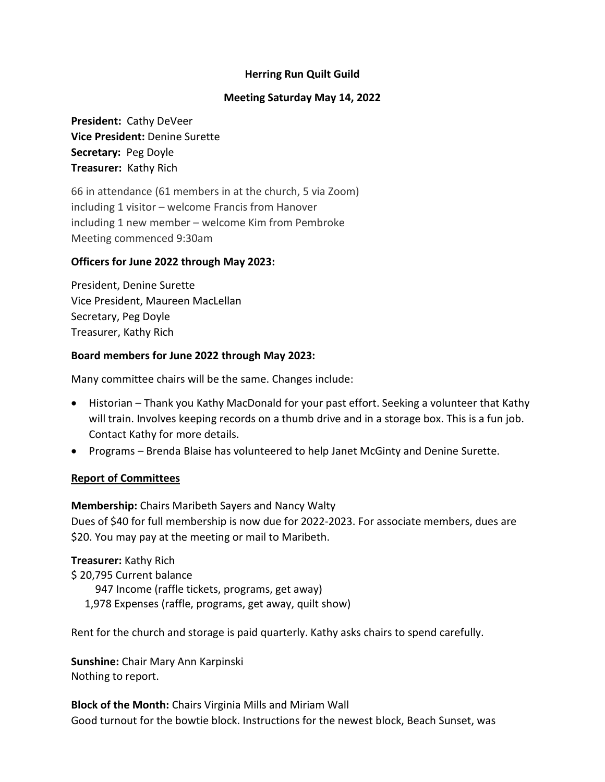## **Herring Run Quilt Guild**

#### **Meeting Saturday May 14, 2022**

**President:** Cathy DeVeer **Vice President:** Denine Surette **Secretary:** Peg Doyle **Treasurer:** Kathy Rich

66 in attendance (61 members in at the church, 5 via Zoom) including 1 visitor – welcome Francis from Hanover including 1 new member – welcome Kim from Pembroke Meeting commenced 9:30am

#### **Officers for June 2022 through May 2023:**

President, Denine Surette Vice President, Maureen MacLellan Secretary, Peg Doyle Treasurer, Kathy Rich

#### **Board members for June 2022 through May 2023:**

Many committee chairs will be the same. Changes include:

- Historian Thank you Kathy MacDonald for your past effort. Seeking a volunteer that Kathy will train. Involves keeping records on a thumb drive and in a storage box. This is a fun job. Contact Kathy for more details.
- Programs Brenda Blaise has volunteered to help Janet McGinty and Denine Surette.

#### **Report of Committees**

**Membership:** Chairs Maribeth Sayers and Nancy Walty Dues of \$40 for full membership is now due for 2022-2023. For associate members, dues are \$20. You may pay at the meeting or mail to Maribeth.

**Treasurer:** Kathy Rich \$ 20,795 Current balance 947 Income (raffle tickets, programs, get away) 1,978 Expenses (raffle, programs, get away, quilt show)

Rent for the church and storage is paid quarterly. Kathy asks chairs to spend carefully.

**Sunshine:** Chair Mary Ann Karpinski Nothing to report.

**Block of the Month:** Chairs Virginia Mills and Miriam Wall Good turnout for the bowtie block. Instructions for the newest block, Beach Sunset, was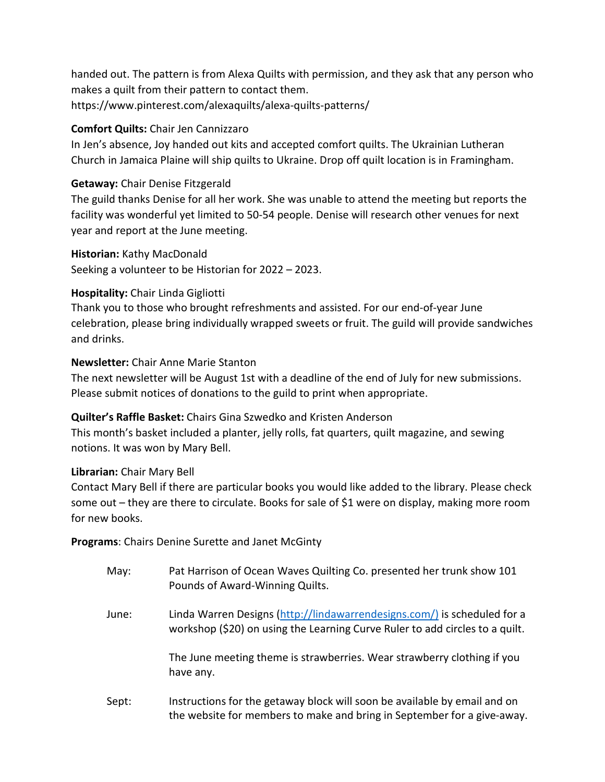handed out. The pattern is from Alexa Quilts with permission, and they ask that any person who makes a quilt from their pattern to contact them. https://www.pinterest.com/alexaquilts/alexa-quilts-patterns/

## **Comfort Quilts:** Chair Jen Cannizzaro

In Jen's absence, Joy handed out kits and accepted comfort quilts. The Ukrainian Lutheran Church in Jamaica Plaine will ship quilts to Ukraine. Drop off quilt location is in Framingham.

## **Getaway:** Chair Denise Fitzgerald

The guild thanks Denise for all her work. She was unable to attend the meeting but reports the facility was wonderful yet limited to 50-54 people. Denise will research other venues for next year and report at the June meeting.

**Historian:** Kathy MacDonald

Seeking a volunteer to be Historian for 2022 – 2023.

## **Hospitality:** Chair Linda Gigliotti

Thank you to those who brought refreshments and assisted. For our end-of-year June celebration, please bring individually wrapped sweets or fruit. The guild will provide sandwiches and drinks.

## **Newsletter:** Chair Anne Marie Stanton

The next newsletter will be August 1st with a deadline of the end of July for new submissions. Please submit notices of donations to the guild to print when appropriate.

# **Quilter's Raffle Basket:** Chairs Gina Szwedko and Kristen Anderson

This month's basket included a planter, jelly rolls, fat quarters, quilt magazine, and sewing notions. It was won by Mary Bell.

# **Librarian:** Chair Mary Bell

Contact Mary Bell if there are particular books you would like added to the library. Please check some out – they are there to circulate. Books for sale of \$1 were on display, making more room for new books.

**Programs**: Chairs Denine Surette and Janet McGinty

| May:  | Pat Harrison of Ocean Waves Quilting Co. presented her trunk show 101<br>Pounds of Award-Winning Quilts.                                                 |
|-------|----------------------------------------------------------------------------------------------------------------------------------------------------------|
| June: | Linda Warren Designs (http://lindawarrendesigns.com/) is scheduled for a<br>workshop (\$20) on using the Learning Curve Ruler to add circles to a quilt. |
|       | The June meeting theme is strawberries. Wear strawberry clothing if you<br>have any.                                                                     |
| Sept: | Instructions for the getaway block will soon be available by email and on                                                                                |

the website for members to make and bring in September for a give-away.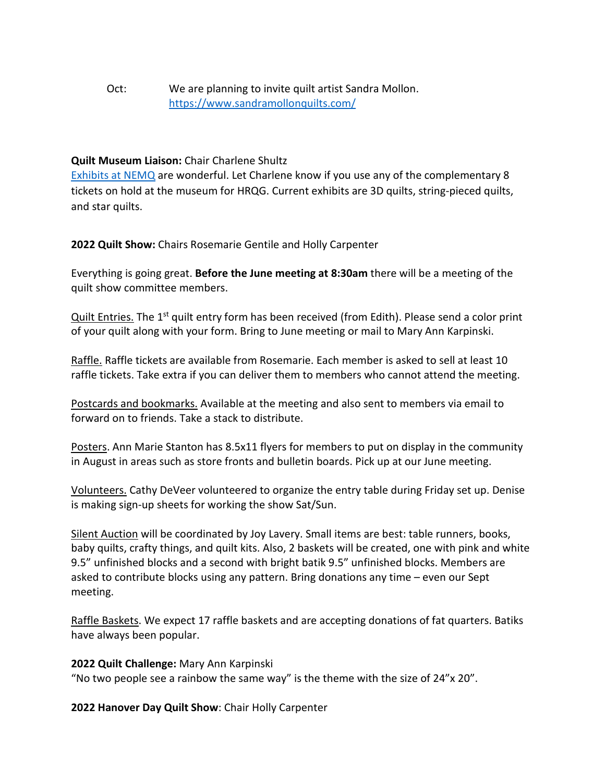## Oct: We are planning to invite quilt artist Sandra Mollon. <https://www.sandramollonquilts.com/>

#### **Quilt Museum Liaison:** Chair Charlene Shultz

[Exhibits at NEMQ](https://www.neqm.org/on-view-index) are wonderful. Let Charlene know if you use any of the complementary 8 tickets on hold at the museum for HRQG. Current exhibits are 3D quilts, string-pieced quilts, and star quilts.

**2022 Quilt Show:** Chairs Rosemarie Gentile and Holly Carpenter

Everything is going great. **Before the June meeting at 8:30am** there will be a meeting of the quilt show committee members.

Quilt Entries. The 1<sup>st</sup> quilt entry form has been received (from Edith). Please send a color print of your quilt along with your form. Bring to June meeting or mail to Mary Ann Karpinski.

Raffle. Raffle tickets are available from Rosemarie. Each member is asked to sell at least 10 raffle tickets. Take extra if you can deliver them to members who cannot attend the meeting.

Postcards and bookmarks. Available at the meeting and also sent to members via email to forward on to friends. Take a stack to distribute.

Posters. Ann Marie Stanton has 8.5x11 flyers for members to put on display in the community in August in areas such as store fronts and bulletin boards. Pick up at our June meeting.

Volunteers. Cathy DeVeer volunteered to organize the entry table during Friday set up. Denise is making sign-up sheets for working the show Sat/Sun.

Silent Auction will be coordinated by Joy Lavery. Small items are best: table runners, books, baby quilts, crafty things, and quilt kits. Also, 2 baskets will be created, one with pink and white 9.5" unfinished blocks and a second with bright batik 9.5" unfinished blocks. Members are asked to contribute blocks using any pattern. Bring donations any time – even our Sept meeting.

Raffle Baskets. We expect 17 raffle baskets and are accepting donations of fat quarters. Batiks have always been popular.

**2022 Quilt Challenge:** Mary Ann Karpinski

"No two people see a rainbow the same way" is the theme with the size of 24"x 20".

**2022 Hanover Day Quilt Show**: Chair Holly Carpenter